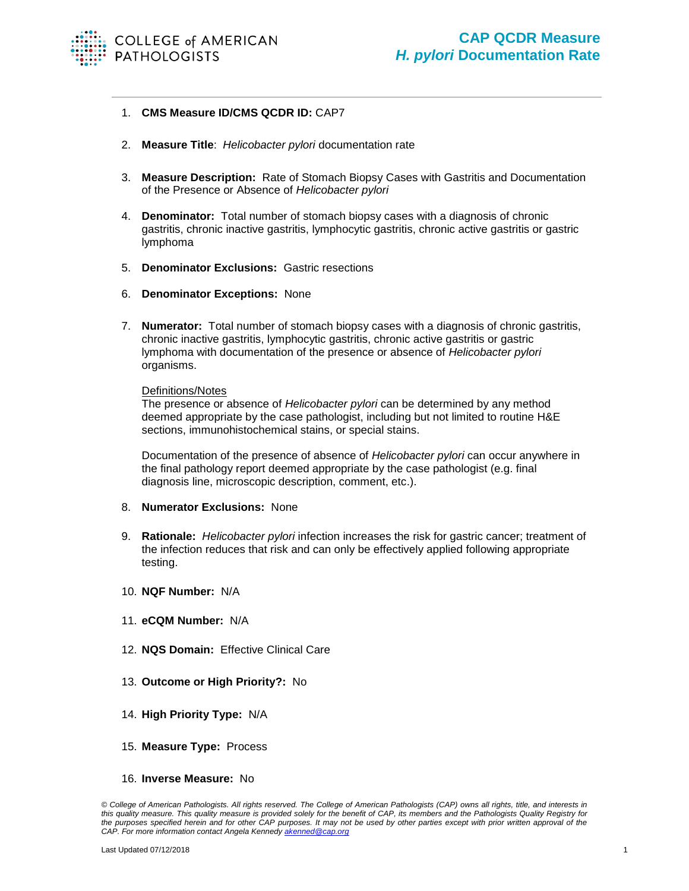

## 1. **CMS Measure ID/CMS QCDR ID:** CAP7

- 2. **Measure Title**: *Helicobacter pylori* documentation rate
- 3. **Measure Description:** Rate of Stomach Biopsy Cases with Gastritis and Documentation of the Presence or Absence of *Helicobacter pylori*
- 4. **Denominator:** Total number of stomach biopsy cases with a diagnosis of chronic gastritis, chronic inactive gastritis, lymphocytic gastritis, chronic active gastritis or gastric lymphoma
- 5. **Denominator Exclusions:** Gastric resections
- 6. **Denominator Exceptions:** None
- 7. **Numerator:** Total number of stomach biopsy cases with a diagnosis of chronic gastritis, chronic inactive gastritis, lymphocytic gastritis, chronic active gastritis or gastric lymphoma with documentation of the presence or absence of *Helicobacter pylori* organisms.

## Definitions/Notes

The presence or absence of *Helicobacter pylori* can be determined by any method deemed appropriate by the case pathologist, including but not limited to routine H&E sections, immunohistochemical stains, or special stains.

Documentation of the presence of absence of *Helicobacter pylori* can occur anywhere in the final pathology report deemed appropriate by the case pathologist (e.g. final diagnosis line, microscopic description, comment, etc.).

## 8. **Numerator Exclusions:** None

- 9. **Rationale:** *Helicobacter pylori* infection increases the risk for gastric cancer; treatment of the infection reduces that risk and can only be effectively applied following appropriate testing.
- 10. **NQF Number:** N/A
- 11. **eCQM Number:** N/A
- 12. **NQS Domain:** Effective Clinical Care
- 13. **Outcome or High Priority?:** No
- 14. **High Priority Type:** N/A
- 15. **Measure Type:** Process
- 16. **Inverse Measure:** No

*<sup>©</sup> College of American Pathologists. All rights reserved. The College of American Pathologists (CAP) owns all rights, title, and interests in this quality measure. This quality measure is provided solely for the benefit of CAP, its members and the Pathologists Quality Registry for the purposes specified herein and for other CAP purposes. It may not be used by other parties except with prior written approval of the CAP. For more information contact Angela Kennedy [akenned@cap.org](mailto:akenned@cap.org)*